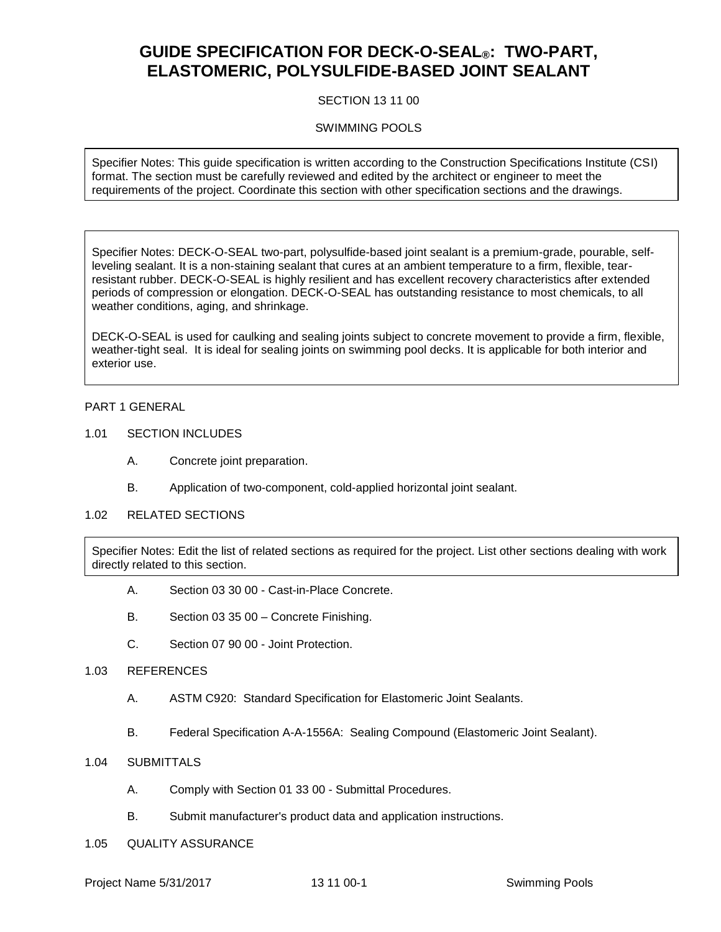# **GUIDE SPECIFICATION FOR DECK-O-SEAL®: TWO-PART, ELASTOMERIC, POLYSULFIDE-BASED JOINT SEALANT**

## SECTION 13 11 00

## SWIMMING POOLS

Specifier Notes: This guide specification is written according to the Construction Specifications Institute (CSI) format. The section must be carefully reviewed and edited by the architect or engineer to meet the requirements of the project. Coordinate this section with other specification sections and the drawings.

Specifier Notes: DECK-O-SEAL two-part, polysulfide-based joint sealant is a premium-grade, pourable, selfleveling sealant. It is a non-staining sealant that cures at an ambient temperature to a firm, flexible, tearresistant rubber. DECK-O-SEAL is highly resilient and has excellent recovery characteristics after extended periods of compression or elongation. DECK-O-SEAL has outstanding resistance to most chemicals, to all weather conditions, aging, and shrinkage.

DECK-O-SEAL is used for caulking and sealing joints subject to concrete movement to provide a firm, flexible, weather-tight seal. It is ideal for sealing joints on swimming pool decks. It is applicable for both interior and exterior use.

#### PART 1 GENERAL

- 1.01 SECTION INCLUDES
	- A. Concrete joint preparation.
	- B. Application of two-component, cold-applied horizontal joint sealant.
- 1.02 RELATED SECTIONS

Specifier Notes: Edit the list of related sections as required for the project. List other sections dealing with work directly related to this section.

- A. Section 03 30 00 Cast-in-Place Concrete.
- B. Section 03 35 00 Concrete Finishing.
- C. Section 07 90 00 Joint Protection.
- 1.03 REFERENCES
	- A. ASTM C920: Standard Specification for Elastomeric Joint Sealants.
	- B. Federal Specification A-A-1556A: Sealing Compound (Elastomeric Joint Sealant).
- 1.04 SUBMITTALS
	- A. Comply with Section 01 33 00 Submittal Procedures.
	- B. Submit manufacturer's product data and application instructions.
- 1.05 QUALITY ASSURANCE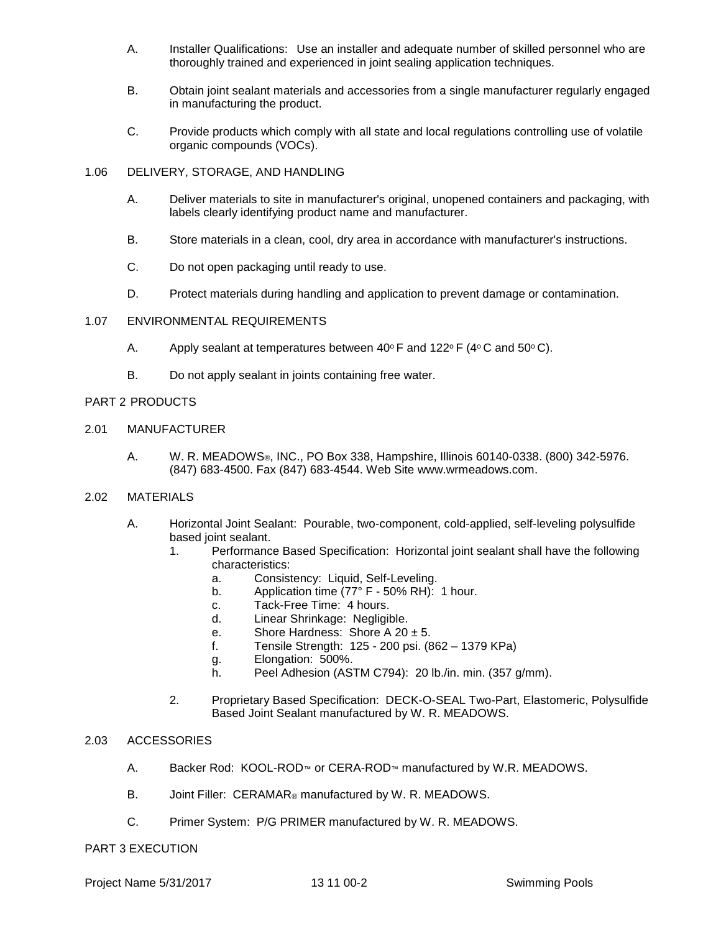- A. Installer Qualifications: Use an installer and adequate number of skilled personnel who are thoroughly trained and experienced in joint sealing application techniques.
- B. Obtain joint sealant materials and accessories from a single manufacturer regularly engaged in manufacturing the product.
- C. Provide products which comply with all state and local regulations controlling use of volatile organic compounds (VOCs).
- 1.06 DELIVERY, STORAGE, AND HANDLING
	- A. Deliver materials to site in manufacturer's original, unopened containers and packaging, with labels clearly identifying product name and manufacturer.
	- B. Store materials in a clean, cool, dry area in accordance with manufacturer's instructions.
	- C. Do not open packaging until ready to use.
	- D. Protect materials during handling and application to prevent damage or contamination.

#### 1.07 ENVIRONMENTAL REQUIREMENTS

- A. Apply sealant at temperatures between  $40^{\circ}$  F and  $122^{\circ}$  F (4 $^{\circ}$ C and 50 $^{\circ}$ C).
- B. Do not apply sealant in joints containing free water.

## PART 2 PRODUCTS

- 2.01 MANUFACTURER
	- A. W. R. MEADOWS®, INC., PO Box 338, Hampshire, Illinois 60140-0338. (800) 342-5976. (847) 683-4500. Fax (847) 683-4544. Web Site www.wrmeadows.com.

#### 2.02 MATERIALS

- A. Horizontal Joint Sealant: Pourable, two-component, cold-applied, self-leveling polysulfide based joint sealant.
	- 1. Performance Based Specification: Horizontal joint sealant shall have the following characteristics:
		- a. Consistency: Liquid, Self-Leveling.
		- b. Application time (77° F 50% RH): 1 hour.
		- c. Tack-Free Time: 4 hours.
		- d. Linear Shrinkage: Negligible.
		- e. Shore Hardness: Shore A 20 ± 5.
		- f. Tensile Strength: 125 200 psi. (862 1379 KPa)
		- g. Elongation: 500%.
		- h. Peel Adhesion (ASTM C794): 20 lb./in. min. (357 g/mm).
	- 2. Proprietary Based Specification: DECK-O-SEAL Two-Part, Elastomeric, Polysulfide Based Joint Sealant manufactured by W. R. MEADOWS.

## 2.03 ACCESSORIES

- A. Backer Rod: KOOL-ROD™ or CERA-ROD™ manufactured by W.R. MEADOWS.
- B. Joint Filler: CERAMAR® manufactured by W. R. MEADOWS.
- C. Primer System: P/G PRIMER manufactured by W. R. MEADOWS.

#### PART 3 EXECUTION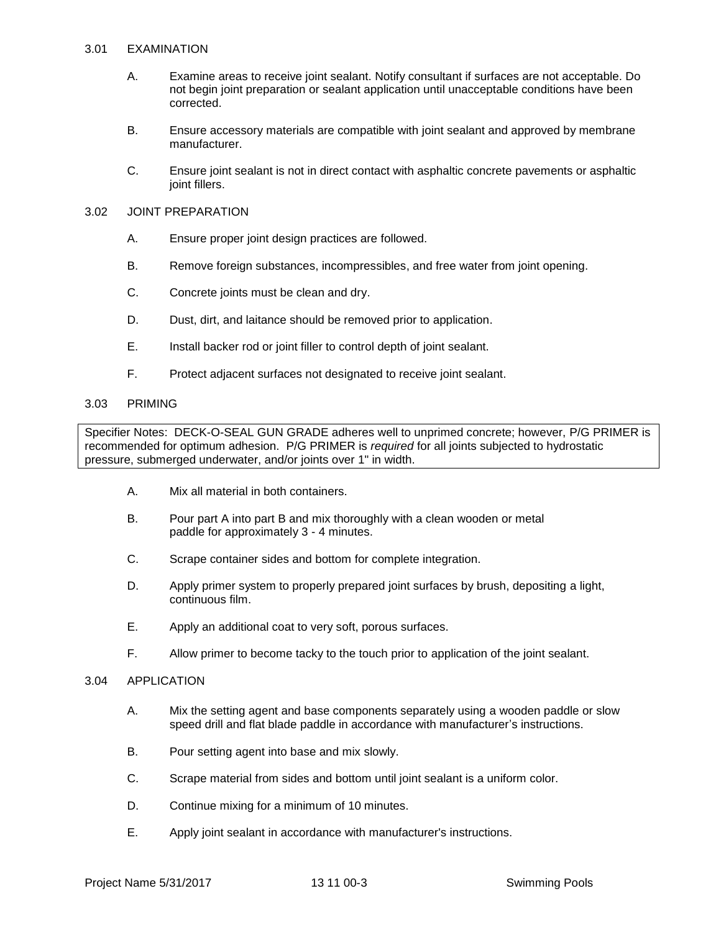#### 3.01 EXAMINATION

- A. Examine areas to receive joint sealant. Notify consultant if surfaces are not acceptable. Do not begin joint preparation or sealant application until unacceptable conditions have been corrected.
- B. Ensure accessory materials are compatible with joint sealant and approved by membrane manufacturer.
- C. Ensure joint sealant is not in direct contact with asphaltic concrete pavements or asphaltic joint fillers.

## 3.02 JOINT PREPARATION

- A. Ensure proper joint design practices are followed.
- B. Remove foreign substances, incompressibles, and free water from joint opening.
- C. Concrete joints must be clean and dry.
- D. Dust, dirt, and laitance should be removed prior to application.
- E. Install backer rod or joint filler to control depth of joint sealant.
- F. Protect adjacent surfaces not designated to receive joint sealant.

## 3.03 PRIMING

Specifier Notes: DECK-O-SEAL GUN GRADE adheres well to unprimed concrete; however, P/G PRIMER is recommended for optimum adhesion. P/G PRIMER is *required* for all joints subjected to hydrostatic pressure, submerged underwater, and/or joints over 1" in width.

- A. Mix all material in both containers.
- B. Pour part A into part B and mix thoroughly with a clean wooden or metal paddle for approximately 3 - 4 minutes.
- C. Scrape container sides and bottom for complete integration.
- D. Apply primer system to properly prepared joint surfaces by brush, depositing a light, continuous film.
- E. Apply an additional coat to very soft, porous surfaces.
- F. Allow primer to become tacky to the touch prior to application of the joint sealant.

#### 3.04 APPLICATION

- A. Mix the setting agent and base components separately using a wooden paddle or slow speed drill and flat blade paddle in accordance with manufacturer's instructions.
- B. Pour setting agent into base and mix slowly.
- C. Scrape material from sides and bottom until joint sealant is a uniform color.
- D. Continue mixing for a minimum of 10 minutes.
- E. Apply joint sealant in accordance with manufacturer's instructions.